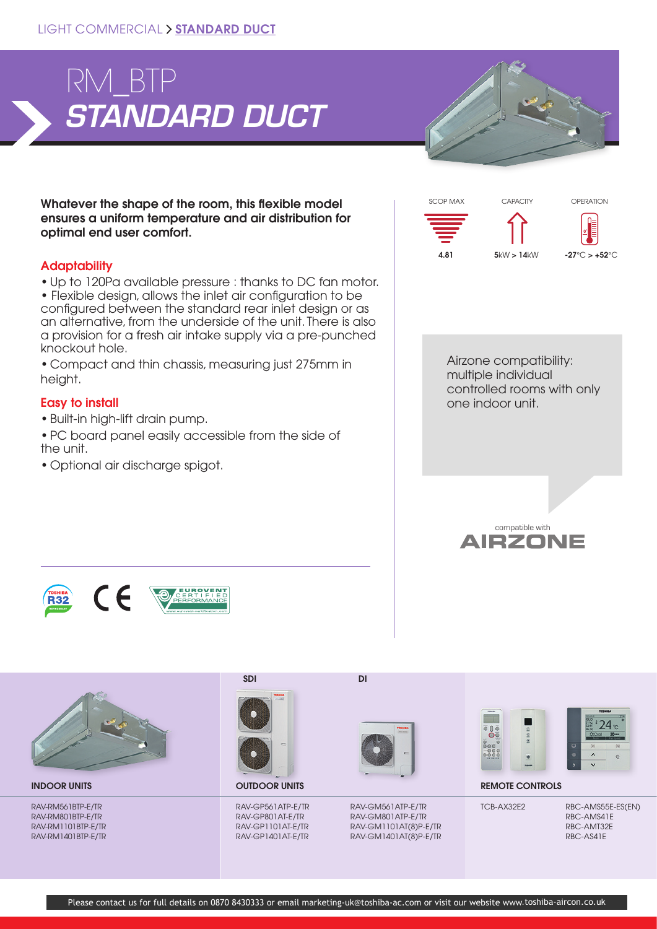

Whatever the shape of the room, this flexible model ensures a uniform temperature and air distribution for optimal end user comfort.

## **Adaptability**

• Up to 120Pa available pressure : thanks to DC fan motor. • Flexible design, allows the inlet air configuration to be configured between the standard rear inlet design or as an alternative, from the underside of the unit. There is also a provision for a fresh air intake supply via a pre-punched knockout hole.

• Compact and thin chassis, measuring just 275mm in height.

## Easy to install

- Built-in high-lift drain pump.
- PC board panel easily accessible from the side of the unit.
- Optional air discharge spigot.







RAV-RM561BTP-E/TR RAV-RM801BTP-E/TR RAV-RM1101BTP-E/TR RAV-RM1401BTP-E/TR SDI DI



RAV-GP561ATP-E/TR RAV-GP801AT-E/TR RAV-GP1101AT-E/TR RAV-GP1401AT-E/TR



RAV-GM561ATP-E/TR RAV-GM801ATP-E/TR RAV-GM1101AT(8)P-E/TR RAV-GM1401AT(8)P-E/TR





INDOOR UNITS **EMOTE CONTROLS** OUTDOOR UNITS **OUTDOOR UNITS REMOTE CONTROLS** 

TCB-AX32E2 RBC-AMS55E-ES(EN) RBC-AMS41E RBC-AMT32E RBC-AS41E